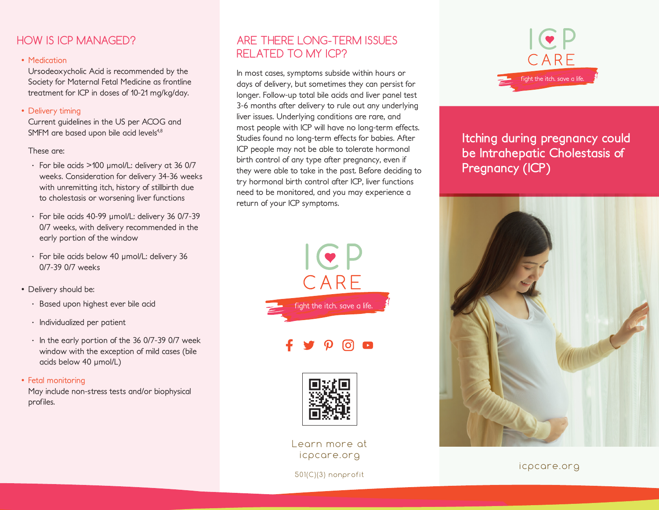# HOW IS ICP MANAGED?

### • Medication

Ursodeoxycholic Acid is recommended by the Society for Maternal Fetal Medicine as frontline treatment for ICP in doses of 10-21 mg/kg/day.

### • Delivery timing

Current guidelines in the US per ACOG and SMFM are based upon bile acid levels<sup>4,8</sup>

#### These are:

- · For bile acids >100 µmol/L: delivery at 36 0/7 weeks. Consideration for delivery 34-36 weeks with unremitting itch, history of stillbirth due to cholestasis or worsening liver functions
- · For bile acids 40-99 µmol/L: delivery 36 0/7-39 0/7 weeks, with delivery recommended in the early portion of the window
- · For bile acids below 40 µmol/L: delivery 36 0/7-39 0/7 weeks
- Delivery should be:
	- · Based upon highest ever bile acid
	- · Individualized per patient
	- · In the early portion of the 36 0/7-39 0/7 week window with the exception of mild cases (bile acids below 40 µmol/L)
- Fetal monitoring

May include non-stress tests and/or biophysical profiles.

# ARE THERE LONG-TERM ISSUES RELATED TO MY ICP?

In most cases, symptoms subside within hours or days of delivery, but sometimes they can persist for longer. Follow-up total bile acids and liver panel test 3-6 months after delivery to rule out any underlying liver issues. Underlying conditions are rare, and most people with ICP will have no long-term effects. Studies found no long-term effects for babies. After ICP people may not be able to tolerate hormonal birth control of any type after pregnancy, even if they were able to take in the past. Before deciding to try hormonal birth control after ICP, liver functions need to be monitored, and you may experience a return of your ICP symptoms.







Learn more at icpcare.org

501(C)(3) nonprofit



**Itching during pregnancy could be Intrahepatic Cholestasis of Pregnancy (ICP)**



icpcare.org